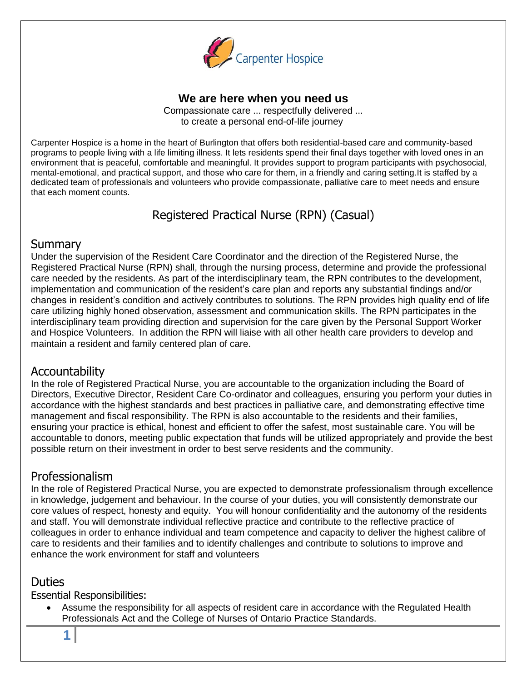

### **We are here when you need us**

Compassionate care ... respectfully delivered ... to create a personal end-of-life journey

Carpenter Hospice is a home in the heart of Burlington that offers both residential-based care and community-based programs to people living with a life limiting illness. It lets residents spend their final days together with loved ones in an environment that is peaceful, comfortable and meaningful. It provides support to program participants with psychosocial, mental-emotional, and practical support, and those who care for them, in a friendly and caring setting.It is staffed by a dedicated team of professionals and volunteers who provide compassionate, palliative care to meet needs and ensure that each moment counts.

# Registered Practical Nurse (RPN) (Casual)

### **Summary**

Under the supervision of the Resident Care Coordinator and the direction of the Registered Nurse, the Registered Practical Nurse (RPN) shall, through the nursing process, determine and provide the professional care needed by the residents. As part of the interdisciplinary team, the RPN contributes to the development, implementation and communication of the resident's care plan and reports any substantial findings and/or changes in resident's condition and actively contributes to solutions. The RPN provides high quality end of life care utilizing highly honed observation, assessment and communication skills. The RPN participates in the interdisciplinary team providing direction and supervision for the care given by the Personal Support Worker and Hospice Volunteers. In addition the RPN will liaise with all other health care providers to develop and maintain a resident and family centered plan of care.

### Accountability

In the role of Registered Practical Nurse, you are accountable to the organization including the Board of Directors, Executive Director, Resident Care Co-ordinator and colleagues, ensuring you perform your duties in accordance with the highest standards and best practices in palliative care, and demonstrating effective time management and fiscal responsibility. The RPN is also accountable to the residents and their families, ensuring your practice is ethical, honest and efficient to offer the safest, most sustainable care. You will be accountable to donors, meeting public expectation that funds will be utilized appropriately and provide the best possible return on their investment in order to best serve residents and the community.

## Professionalism

In the role of Registered Practical Nurse, you are expected to demonstrate professionalism through excellence in knowledge, judgement and behaviour. In the course of your duties, you will consistently demonstrate our core values of respect, honesty and equity. You will honour confidentiality and the autonomy of the residents and staff. You will demonstrate individual reflective practice and contribute to the reflective practice of colleagues in order to enhance individual and team competence and capacity to deliver the highest calibre of care to residents and their families and to identify challenges and contribute to solutions to improve and enhance the work environment for staff and volunteers

## **Duties**

Essential Responsibilities:

**1**

• Assume the responsibility for all aspects of resident care in accordance with the Regulated Health Professionals Act and the College of Nurses of Ontario Practice Standards.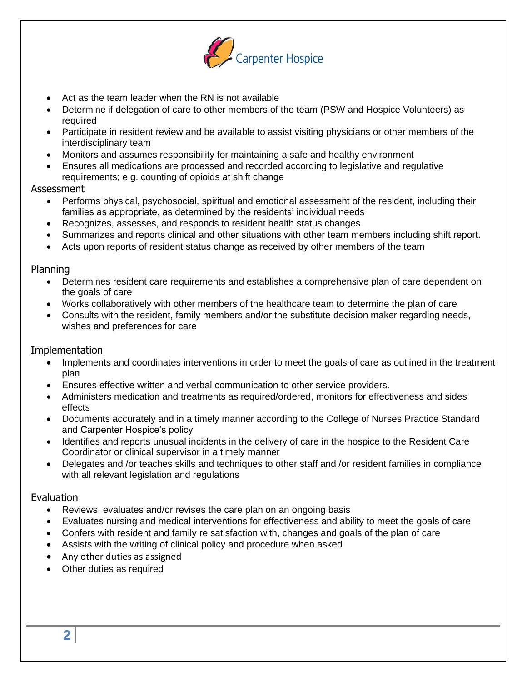

- Act as the team leader when the RN is not available
- Determine if delegation of care to other members of the team (PSW and Hospice Volunteers) as required
- Participate in resident review and be available to assist visiting physicians or other members of the interdisciplinary team
- Monitors and assumes responsibility for maintaining a safe and healthy environment
- Ensures all medications are processed and recorded according to legislative and regulative requirements; e.g. counting of opioids at shift change

#### Assessment

- Performs physical, psychosocial, spiritual and emotional assessment of the resident, including their families as appropriate, as determined by the residents' individual needs
- Recognizes, assesses, and responds to resident health status changes
- Summarizes and reports clinical and other situations with other team members including shift report.
- Acts upon reports of resident status change as received by other members of the team

#### Planning

- Determines resident care requirements and establishes a comprehensive plan of care dependent on the goals of care
- Works collaboratively with other members of the healthcare team to determine the plan of care
- Consults with the resident, family members and/or the substitute decision maker regarding needs, wishes and preferences for care

#### Implementation

- Implements and coordinates interventions in order to meet the goals of care as outlined in the treatment plan
- Ensures effective written and verbal communication to other service providers.
- Administers medication and treatments as required/ordered, monitors for effectiveness and sides effects
- Documents accurately and in a timely manner according to the College of Nurses Practice Standard and Carpenter Hospice's policy
- Identifies and reports unusual incidents in the delivery of care in the hospice to the Resident Care Coordinator or clinical supervisor in a timely manner
- Delegates and /or teaches skills and techniques to other staff and /or resident families in compliance with all relevant legislation and regulations

#### Evaluation

- Reviews, evaluates and/or revises the care plan on an ongoing basis
- Evaluates nursing and medical interventions for effectiveness and ability to meet the goals of care
- Confers with resident and family re satisfaction with, changes and goals of the plan of care
- Assists with the writing of clinical policy and procedure when asked
- Any other duties as assigned
- Other duties as required